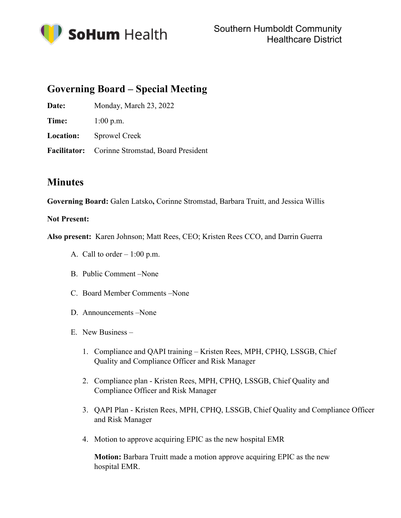

## **Governing Board – Special Meeting**

Date: Monday, March 23, 2022

**Time:** 1:00 p.m.

**Location:** Sprowel Creek

**Facilitator:** Corinne Stromstad, Board President

## **Minutes**

**Governing Board:** Galen Latsko**,** Corinne Stromstad, Barbara Truitt, and Jessica Willis

## **Not Present:**

**Also present:** Karen Johnson; Matt Rees, CEO; Kristen Rees CCO, and Darrin Guerra

- A. Call to order  $-1:00$  p.m.
- B. Public Comment –None
- C. Board Member Comments –None
- D. Announcements –None
- E. New Business
	- 1. Compliance and QAPI training Kristen Rees, MPH, CPHQ, LSSGB, Chief Quality and Compliance Officer and Risk Manager
	- 2. Compliance plan Kristen Rees, MPH, CPHQ, LSSGB, Chief Quality and Compliance Officer and Risk Manager
	- 3. QAPI Plan Kristen Rees, MPH, CPHQ, LSSGB, Chief Quality and Compliance Officer and Risk Manager
	- 4. Motion to approve acquiring EPIC as the new hospital EMR

**Motion:** Barbara Truitt made a motion approve acquiring EPIC as the new hospital EMR.